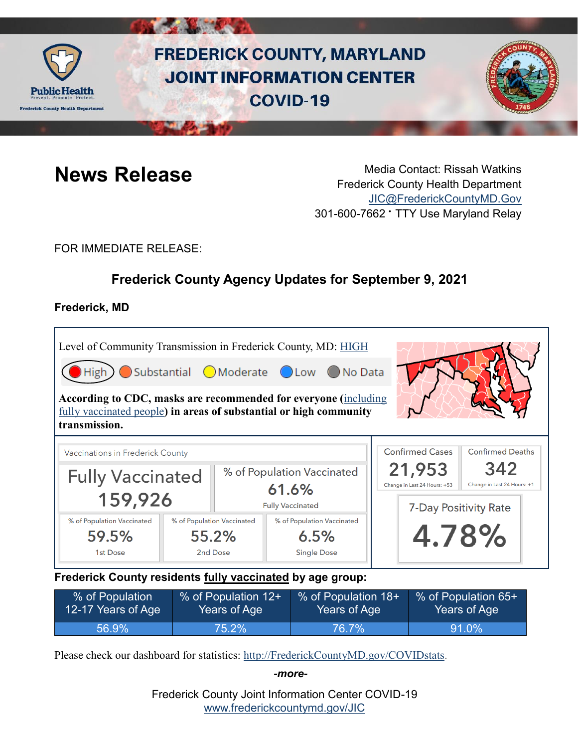

# **FREDERICK COUNTY, MARYLAND JOINT INFORMATION CENTER COVID-19**



**News Release** Media Contact: Rissah Watkins Frederick County Health Department [JIC@FrederickCountyMD.Gov](mailto:JIC@FrederickCountyMD.Gov) 301-600-7662 • TTY Use Maryland Relay

FOR IMMEDIATE RELEASE:

# **Frederick County Agency Updates for September 9, 2021**

# **Frederick, MD**

г

| Level of Community Transmission in Frederick County, MD: HIGH                                                                                          |  |                                                                |                            |  |  |                                        |                                    |  |
|--------------------------------------------------------------------------------------------------------------------------------------------------------|--|----------------------------------------------------------------|----------------------------|--|--|----------------------------------------|------------------------------------|--|
| Substantial OModerate OLow ONo Data<br>High                                                                                                            |  |                                                                |                            |  |  |                                        |                                    |  |
| According to CDC, masks are recommended for everyone (including<br>fully vaccinated people) in areas of substantial or high community<br>transmission. |  |                                                                |                            |  |  |                                        |                                    |  |
| Vaccinations in Frederick County                                                                                                                       |  |                                                                |                            |  |  | <b>Confirmed Cases</b>                 | <b>Confirmed Deaths</b>            |  |
| <b>Fully Vaccinated</b><br>159,926                                                                                                                     |  | % of Population Vaccinated<br>61.6%<br><b>Fully Vaccinated</b> |                            |  |  | 21,953<br>Change in Last 24 Hours: +53 | 342<br>Change in Last 24 Hours: +1 |  |
|                                                                                                                                                        |  |                                                                |                            |  |  | 7-Day Positivity Rate                  |                                    |  |
| % of Population Vaccinated                                                                                                                             |  | % of Population Vaccinated                                     | % of Population Vaccinated |  |  |                                        |                                    |  |
| 59.5%                                                                                                                                                  |  | 55.2%                                                          | 6.5%                       |  |  | 4.78%                                  |                                    |  |
| 1st Dose                                                                                                                                               |  | 2nd Dose                                                       | <b>Single Dose</b>         |  |  |                                        |                                    |  |

**Frederick County residents fully vaccinated by age group:**

| % of Population    | % of Population 12+ | % of Population 18+ | % of Population 65+ |
|--------------------|---------------------|---------------------|---------------------|
| 12-17 Years of Age | Years of Age        | Years of Age        | Years of Age I      |
| 56.9%              | $75.2\%$            | 76.7%               | $ 91.0\% $          |

Please check our dashboard for statistics: [http://FrederickCountyMD.gov/COVIDstats.](http://frederickcountymd.gov/COVIDstats)

*-more-*

Frederick County Joint Information Center COVID-19 [www.frederickcountymd.gov/JIC](https://frederickcountymd.gov/JIC)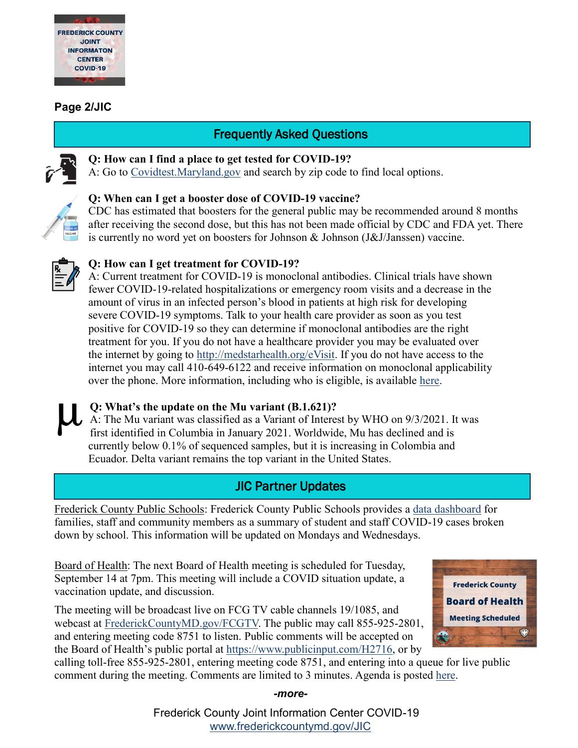

## **Page 2/JIC**

# Frequently Asked Questions



# **Q: How can I find a place to get tested for COVID-19?**

A: Go to [Covidtest.Maryland.gov](https://coronavirus.maryland.gov/pages/symptoms-testing) and search by zip code to find local options.



#### **Q: When can I get a booster dose of COVID-19 vaccine?**

CDC has estimated that boosters for the general public may be recommended around 8 months after receiving the second dose, but this has not been made official by CDC and FDA yet. There is currently no word yet on boosters for Johnson & Johnson (J&J/Janssen) vaccine.



## **Q: How can I get treatment for COVID-19?**

A: Current treatment for COVID-19 is monoclonal antibodies. Clinical trials have shown fewer COVID-19-related hospitalizations or emergency room visits and a decrease in the amount of virus in an infected person's blood in patients at high risk for developing severe COVID-19 symptoms. Talk to your health care provider as soon as you test positive for COVID-19 so they can determine if monoclonal antibodies are the right treatment for you. If you do not have a healthcare provider you may be evaluated over the internet by going to [http://medstarhealth.org/eVisit.](http://medstarhealth.org/eVisit) If you do not have access to the internet you may call 410-649-6122 and receive information on monoclonal applicability over the phone. More information, including who is eligible, is available [here.](https://covidlink.maryland.gov/content/faqs/#faqMA)

**Q: What's the update on the Mu variant (B.1.621)?** A: The Mu variant was classified as a Variant of Interest by WHO on 9/3/2021. It was first identified in Columbia in January 2021. Worldwide, Mu has declined and is currently below 0.1% of sequenced samples, but it is increasing in Colombia and Ecuador. Delta variant remains the top variant in the United States.

# JIC Partner Updates

Frederick County Public Schools: Frederick County Public Schools provides a [data dashboard](https://www.fcps.org/dashboard) for families, staff and community members as a summary of student and staff COVID-19 cases broken down by school. This information will be updated on Mondays and Wednesdays.

Board of Health: The next Board of Health meeting is scheduled for Tuesday, September 14 at 7pm. This meeting will include a COVID situation update, a vaccination update, and discussion.

The meeting will be broadcast live on FCG TV cable channels 19/1085, and webcast at [FrederickCountyMD.gov/FCGTV.](http://frederickcountymd.gov/FCGTV?fbclid=IwAR12fIe_GBfOewC97-1Tzhd_8sNRe1Ra-dniEBkmfcv0gQyzD0KhF0xCfgA) The public may call 855-925-2801, and entering meeting code 8751 to listen. Public comments will be accepted on the Board of Health's public portal at [https://www.publicinput.com/H2716,](https://www.publicinput.com/H2716?fbclid=IwAR1hBNJhY1T0z5RRs-bg1Csm0XOpcIT3wzYcIvdIgvf8l4PXtExNRtUipkM) or by



calling toll-free 855-925-2801, entering meeting code 8751, and entering into a queue for live public comment during the meeting. Comments are limited to 3 minutes. Agenda is posted [here.](https://health.frederickcountymd.gov/627/Board-of-Health)

#### *-more-*

Frederick County Joint Information Center COVID-19 [www.frederickcountymd.gov/JIC](https://frederickcountymd.gov/JIC)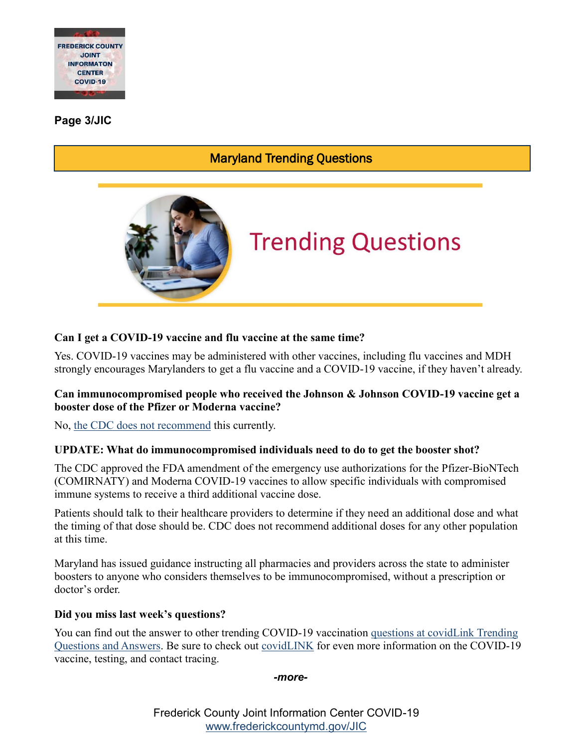

**Page 3/JIC**

# Maryland Trending Questions



# **Trending Questions**

# **Can I get a COVID-19 vaccine and flu vaccine at the same time?**

Yes. COVID-19 vaccines may be administered with other vaccines, including flu vaccines and MDH strongly encourages Marylanders to get a flu vaccine and a COVID-19 vaccine, if they haven't already.

#### **Can immunocompromised people who received the Johnson & Johnson COVID-19 vaccine get a booster dose of the Pfizer or Moderna vaccine?**

No, [the CDC does not recommend](https://www.cdc.gov/coronavirus/2019-ncov/vaccines/recommendations/immuno.html) this currently.

#### **UPDATE: What do immunocompromised individuals need to do to get the booster shot?**

The CDC approved the FDA amendment of the emergency use authorizations for the Pfizer-BioNTech (COMIRNATY) and Moderna COVID-19 vaccines to allow specific individuals with compromised immune systems to receive a third additional vaccine dose.

Patients should talk to their healthcare providers to determine if they need an additional dose and what the timing of that dose should be. CDC does not recommend additional doses for any other population at this time.

Maryland has issued guidance instructing all pharmacies and providers across the state to administer boosters to anyone who considers themselves to be immunocompromised, without a prescription or doctor's order.

#### **Did you miss last week's questions?**

You can find out the answer to other trending COVID-19 vaccination [questions at covidLink](https://covidlink.maryland.gov/content/faqs/#trending) Trending [Questions and Answers.](https://covidlink.maryland.gov/content/faqs/#trending) Be sure to check out [covidLINK](https://covidlink.maryland.gov/content/) for even more information on the COVID-19 vaccine, testing, and contact tracing.

*-more-*